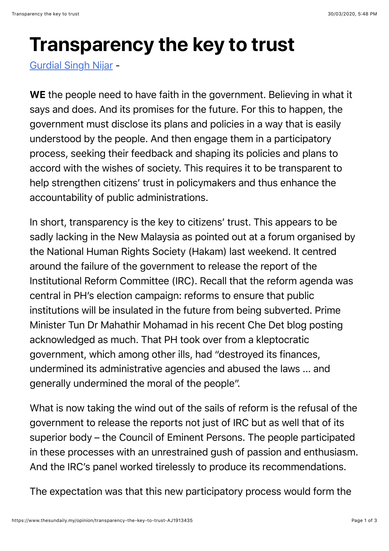## **Transparency the key to trust**

[Gurdial Singh Nijar](https://www.thesundaily.my/tag/-/meta/gurdial-singh-nijar) -

WE the people need to have faith in the government. Believing in what it says and does. And its promises for the future. For this to happen, the government must disclose its plans and policies in a way that is easily understood by the people. And then engage them in a participatory process, seeking their feedback and shaping its policies and plans to accord with the wishes of society. This requires it to be transparent to help strengthen citizens' trust in policymakers and thus enhance the accountability of public administrations.

In short, transparency is the key to citizens' trust. This appears to be sadly lacking in the New Malaysia as pointed out at a forum organised by the National Human Rights Society (Hakam) last weekend. It centred around the failure of the government to release the report of the Institutional Reform Committee (IRC). Recall that the reform agenda was central in PH's election campaign: reforms to ensure that public institutions will be insulated in the future from being subverted. Prime Minister Tun Dr Mahathir Mohamad in his recent Che Det blog posting acknowledged as much. That PH took over from a kleptocratic government, which among other ills, had "destroyed its finances, undermined its administrative agencies and abused the laws ... and generally undermined the moral of the people".

What is now taking the wind out of the sails of reform is the refusal of the government to release the reports not just of IRC but as well that of its superior body – the Council of Eminent Persons. The people participated in these processes with an unrestrained gush of passion and enthusiasm. And the IRC's panel worked tirelessly to produce its recommendations.

The expectation was that this new participatory process would form the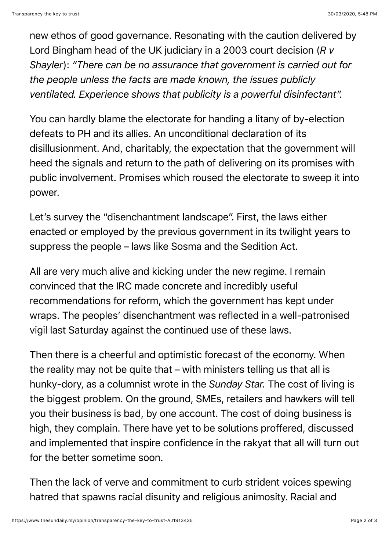new ethos of good governance. Resonating with the caution delivered by Lord Bingham head of the UK judiciary in a 2003 court decision (*R v Shayler*): *"There can be no assurance that government is carried out for the people unless the facts are made known, the issues publicly ventilated. Experience shows that publicity is a powerful disinfectant".*

You can hardly blame the electorate for handing a litany of by-election defeats to PH and its allies. An unconditional declaration of its disillusionment. And, charitably, the expectation that the government will heed the signals and return to the path of delivering on its promises with public involvement. Promises which roused the electorate to sweep it into power.

Let's survey the "disenchantment landscape". First, the laws either enacted or employed by the previous government in its twilight years to suppress the people – laws like Sosma and the Sedition Act.

All are very much alive and kicking under the new regime. I remain convinced that the IRC made concrete and incredibly useful recommendations for reform, which the government has kept under wraps. The peoples' disenchantment was reflected in a well-patronised vigil last Saturday against the continued use of these laws.

Then there is a cheerful and optimistic forecast of the economy. When the reality may not be quite that – with ministers telling us that all is hunky-dory, as a columnist wrote in the *Sunday Star.* The cost of living is the biggest problem. On the ground, SMEs, retailers and hawkers will tell you their business is bad, by one account. The cost of doing business is high, they complain. There have yet to be solutions proffered, discussed and implemented that inspire confidence in the rakyat that all will turn out for the better sometime soon.

Then the lack of verve and commitment to curb strident voices spewing hatred that spawns racial disunity and religious animosity. Racial and